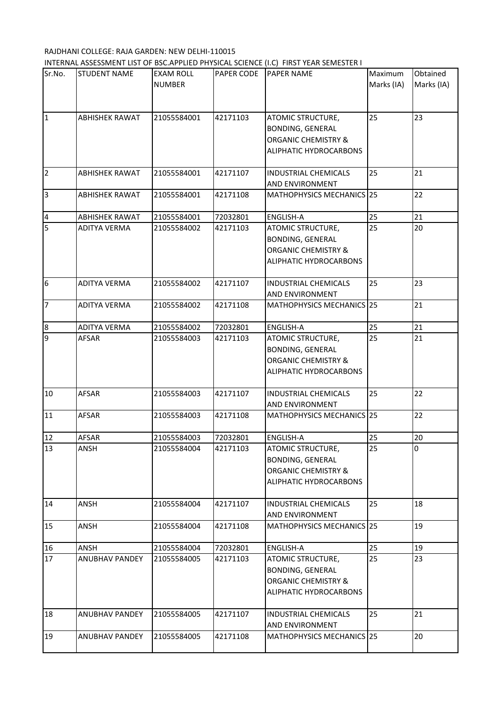## RAJDHANI COLLEGE: RAJA GARDEN: NEW DELHI-110015 INTERNAL ASSESSMENT LIST OF BSC.APPLIED PHYSICAL SCIENCE (I.C) FIRST YEAR SEMESTER I

| Sr.No.                  | <b>STUDENT NAME</b>   | <b>EXAM ROLL</b><br><b>NUMBER</b> | PAPER CODE | <b>PAPER NAME</b>                                                                                               | Maximum<br>Marks (IA) | Obtained<br>Marks (IA) |
|-------------------------|-----------------------|-----------------------------------|------------|-----------------------------------------------------------------------------------------------------------------|-----------------------|------------------------|
| $\vert$ 1               | <b>ABHISHEK RAWAT</b> | 21055584001                       | 42171103   | ATOMIC STRUCTURE,<br><b>BONDING, GENERAL</b><br><b>ORGANIC CHEMISTRY &amp;</b><br>ALIPHATIC HYDROCARBONS        | 25                    | 23                     |
| $\overline{2}$          | <b>ABHISHEK RAWAT</b> | 21055584001                       | 42171107   | <b>INDUSTRIAL CHEMICALS</b><br>AND ENVIRONMENT                                                                  | 25                    | 21                     |
| 3                       | <b>ABHISHEK RAWAT</b> | 21055584001                       | 42171108   | MATHOPHYSICS MECHANICS 25                                                                                       |                       | 22                     |
| $\overline{\mathbf{4}}$ | <b>ABHISHEK RAWAT</b> | 21055584001                       | 72032801   | ENGLISH-A                                                                                                       | 25                    | 21                     |
| 5                       | <b>ADITYA VERMA</b>   | 21055584002                       | 42171103   | ATOMIC STRUCTURE,<br><b>BONDING, GENERAL</b><br><b>ORGANIC CHEMISTRY &amp;</b><br>ALIPHATIC HYDROCARBONS        | 25                    | 20                     |
| 6                       | <b>ADITYA VERMA</b>   | 21055584002                       | 42171107   | <b>INDUSTRIAL CHEMICALS</b><br><b>AND ENVIRONMENT</b>                                                           | 25                    | 23                     |
| 7                       | <b>ADITYA VERMA</b>   | 21055584002                       | 42171108   | MATHOPHYSICS MECHANICS 25                                                                                       |                       | 21                     |
| 8                       | <b>ADITYA VERMA</b>   | 21055584002                       | 72032801   | <b>ENGLISH-A</b>                                                                                                | 25                    | 21                     |
| 9                       | AFSAR                 | 21055584003                       | 42171103   | ATOMIC STRUCTURE,<br><b>BONDING, GENERAL</b><br><b>ORGANIC CHEMISTRY &amp;</b><br>ALIPHATIC HYDROCARBONS        | 25                    | 21                     |
| 10                      | AFSAR                 | 21055584003                       | 42171107   | <b>INDUSTRIAL CHEMICALS</b><br>AND ENVIRONMENT                                                                  | 25                    | 22                     |
| 11                      | <b>AFSAR</b>          | 21055584003                       | 42171108   | MATHOPHYSICS MECHANICS 25                                                                                       |                       | 22                     |
| 12                      | <b>AFSAR</b>          | 21055584003                       | 72032801   | <b>ENGLISH-A</b>                                                                                                | 25                    | 20                     |
| 13                      | <b>ANSH</b>           | 21055584004                       | 42171103   | <b>ATOMIC STRUCTURE,</b><br><b>BONDING, GENERAL</b><br><b>ORGANIC CHEMISTRY &amp;</b><br>ALIPHATIC HYDROCARBONS | 25                    | U                      |
| 14                      | ANSH                  | 21055584004                       | 42171107   | <b>INDUSTRIAL CHEMICALS</b><br>AND ENVIRONMENT                                                                  | 25                    | 18                     |
| 15                      | ANSH                  | 21055584004                       | 42171108   | MATHOPHYSICS MECHANICS 25                                                                                       |                       | 19                     |
| 16                      | ANSH                  | 21055584004                       | 72032801   | <b>ENGLISH-A</b>                                                                                                | 25                    | 19                     |
| 17                      | <b>ANUBHAV PANDEY</b> | 21055584005                       | 42171103   | <b>ATOMIC STRUCTURE,</b><br>BONDING, GENERAL<br><b>ORGANIC CHEMISTRY &amp;</b><br>ALIPHATIC HYDROCARBONS        | 25                    | 23                     |
| 18                      | <b>ANUBHAV PANDEY</b> | 21055584005                       | 42171107   | <b>INDUSTRIAL CHEMICALS</b><br>AND ENVIRONMENT                                                                  | 25                    | 21                     |
| 19                      | <b>ANUBHAV PANDEY</b> | 21055584005                       | 42171108   | MATHOPHYSICS MECHANICS 25                                                                                       |                       | 20                     |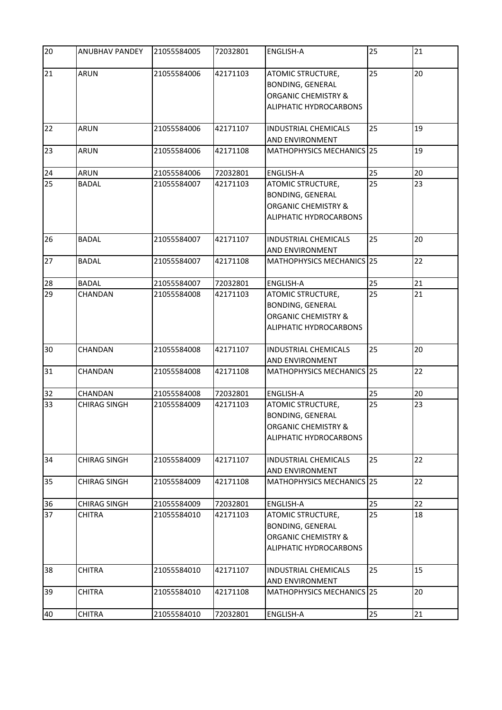| 20 | ANUBHAV PANDEY      | 21055584005 | 72032801 | <b>ENGLISH-A</b>                                                                                         | 25 | 21 |
|----|---------------------|-------------|----------|----------------------------------------------------------------------------------------------------------|----|----|
| 21 | <b>ARUN</b>         | 21055584006 | 42171103 | ATOMIC STRUCTURE,<br><b>BONDING, GENERAL</b><br><b>ORGANIC CHEMISTRY &amp;</b><br>ALIPHATIC HYDROCARBONS | 25 | 20 |
| 22 | <b>ARUN</b>         | 21055584006 | 42171107 | <b>INDUSTRIAL CHEMICALS</b><br>AND ENVIRONMENT                                                           | 25 | 19 |
| 23 | ARUN                | 21055584006 | 42171108 | MATHOPHYSICS MECHANICS 25                                                                                |    | 19 |
| 24 | <b>ARUN</b>         | 21055584006 | 72032801 | <b>ENGLISH-A</b>                                                                                         | 25 | 20 |
| 25 | <b>BADAL</b>        | 21055584007 | 42171103 | ATOMIC STRUCTURE,<br><b>BONDING, GENERAL</b><br><b>ORGANIC CHEMISTRY &amp;</b><br>ALIPHATIC HYDROCARBONS | 25 | 23 |
| 26 | <b>BADAL</b>        | 21055584007 | 42171107 | <b>INDUSTRIAL CHEMICALS</b><br>AND ENVIRONMENT                                                           | 25 | 20 |
| 27 | <b>BADAL</b>        | 21055584007 | 42171108 | MATHOPHYSICS MECHANICS 25                                                                                |    | 22 |
| 28 | <b>BADAL</b>        | 21055584007 | 72032801 | <b>ENGLISH-A</b>                                                                                         | 25 | 21 |
| 29 | CHANDAN             | 21055584008 | 42171103 | ATOMIC STRUCTURE,<br><b>BONDING, GENERAL</b><br><b>ORGANIC CHEMISTRY &amp;</b><br>ALIPHATIC HYDROCARBONS | 25 | 21 |
| 30 | CHANDAN             | 21055584008 | 42171107 | <b>INDUSTRIAL CHEMICALS</b><br>AND ENVIRONMENT                                                           | 25 | 20 |
| 31 | <b>CHANDAN</b>      | 21055584008 | 42171108 | MATHOPHYSICS MECHANICS 25                                                                                |    | 22 |
| 32 | CHANDAN             | 21055584008 | 72032801 | <b>ENGLISH-A</b>                                                                                         | 25 | 20 |
| 33 | <b>CHIRAG SINGH</b> | 21055584009 | 42171103 | ATOMIC STRUCTURE,<br><b>BONDING, GENERAL</b><br><b>ORGANIC CHEMISTRY &amp;</b><br>ALIPHATIC HYDROCARBONS | 25 | 23 |
| 34 | <b>CHIRAG SINGH</b> | 21055584009 | 42171107 | <b>INDUSTRIAL CHEMICALS</b><br>AND ENVIRONMENT                                                           | 25 | 22 |
| 35 | <b>CHIRAG SINGH</b> | 21055584009 | 42171108 | MATHOPHYSICS MECHANICS 25                                                                                |    | 22 |
| 36 | <b>CHIRAG SINGH</b> | 21055584009 | 72032801 | <b>ENGLISH-A</b>                                                                                         | 25 | 22 |
| 37 | <b>CHITRA</b>       | 21055584010 | 42171103 | ATOMIC STRUCTURE,<br><b>BONDING, GENERAL</b><br><b>ORGANIC CHEMISTRY &amp;</b><br>ALIPHATIC HYDROCARBONS | 25 | 18 |
| 38 | <b>CHITRA</b>       | 21055584010 | 42171107 | <b>INDUSTRIAL CHEMICALS</b><br>AND ENVIRONMENT                                                           | 25 | 15 |
| 39 | <b>CHITRA</b>       | 21055584010 | 42171108 | MATHOPHYSICS MECHANICS 25                                                                                |    | 20 |
| 40 | <b>CHITRA</b>       | 21055584010 | 72032801 | ENGLISH-A                                                                                                | 25 | 21 |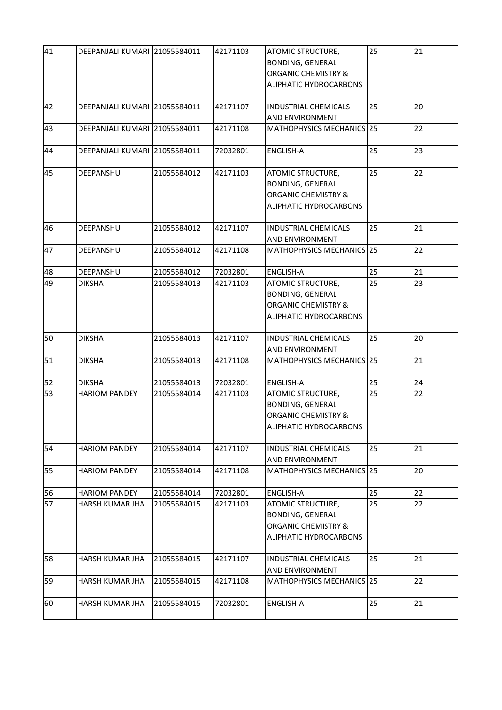| 41 | DEEPANJALI KUMARI 21055584011 |             | 42171103 | ATOMIC STRUCTURE,<br><b>BONDING, GENERAL</b><br><b>ORGANIC CHEMISTRY &amp;</b><br>ALIPHATIC HYDROCARBONS | 25 | 21 |
|----|-------------------------------|-------------|----------|----------------------------------------------------------------------------------------------------------|----|----|
| 42 | DEEPANJALI KUMARI 21055584011 |             | 42171107 | <b>INDUSTRIAL CHEMICALS</b><br>AND ENVIRONMENT                                                           | 25 | 20 |
| 43 | DEEPANJALI KUMARI 21055584011 |             | 42171108 | MATHOPHYSICS MECHANICS 25                                                                                |    | 22 |
| 44 | DEEPANJALI KUMARI 21055584011 |             | 72032801 | <b>ENGLISH-A</b>                                                                                         | 25 | 23 |
| 45 | <b>DEEPANSHU</b>              | 21055584012 | 42171103 | ATOMIC STRUCTURE,<br><b>BONDING, GENERAL</b><br><b>ORGANIC CHEMISTRY &amp;</b><br>ALIPHATIC HYDROCARBONS | 25 | 22 |
| 46 | DEEPANSHU                     | 21055584012 | 42171107 | <b>INDUSTRIAL CHEMICALS</b><br><b>AND ENVIRONMENT</b>                                                    | 25 | 21 |
| 47 | DEEPANSHU                     | 21055584012 | 42171108 | MATHOPHYSICS MECHANICS 25                                                                                |    | 22 |
| 48 | DEEPANSHU                     | 21055584012 | 72032801 | <b>ENGLISH-A</b>                                                                                         | 25 | 21 |
| 49 | <b>DIKSHA</b>                 | 21055584013 | 42171103 | ATOMIC STRUCTURE,<br>BONDING, GENERAL<br><b>ORGANIC CHEMISTRY &amp;</b><br>ALIPHATIC HYDROCARBONS        | 25 | 23 |
| 50 | <b>DIKSHA</b>                 | 21055584013 | 42171107 | <b>INDUSTRIAL CHEMICALS</b><br>AND ENVIRONMENT                                                           | 25 | 20 |
| 51 | <b>DIKSHA</b>                 | 21055584013 | 42171108 | MATHOPHYSICS MECHANICS 25                                                                                |    | 21 |
| 52 | <b>DIKSHA</b>                 | 21055584013 | 72032801 | <b>ENGLISH-A</b>                                                                                         | 25 | 24 |
| 53 | <b>HARIOM PANDEY</b>          | 21055584014 | 42171103 | ATOMIC STRUCTURE,<br>BONDING, GENERAL<br><b>ORGANIC CHEMISTRY &amp;</b><br>ALIPHATIC HYDROCARBONS        | 25 | 22 |
| 54 | <b>HARIOM PANDEY</b>          | 21055584014 | 42171107 | <b>INDUSTRIAL CHEMICALS</b><br>AND ENVIRONMENT                                                           | 25 | 21 |
| 55 | <b>HARIOM PANDEY</b>          | 21055584014 | 42171108 | MATHOPHYSICS MECHANICS 25                                                                                |    | 20 |
| 56 | <b>HARIOM PANDEY</b>          | 21055584014 | 72032801 | <b>ENGLISH-A</b>                                                                                         | 25 | 22 |
| 57 | HARSH KUMAR JHA               | 21055584015 | 42171103 | ATOMIC STRUCTURE,<br>BONDING, GENERAL<br><b>ORGANIC CHEMISTRY &amp;</b><br>ALIPHATIC HYDROCARBONS        | 25 | 22 |
| 58 | HARSH KUMAR JHA               | 21055584015 | 42171107 | <b>INDUSTRIAL CHEMICALS</b><br>AND ENVIRONMENT                                                           | 25 | 21 |
| 59 | HARSH KUMAR JHA               | 21055584015 | 42171108 | MATHOPHYSICS MECHANICS 25                                                                                |    | 22 |
| 60 | HARSH KUMAR JHA               | 21055584015 | 72032801 | ENGLISH-A                                                                                                | 25 | 21 |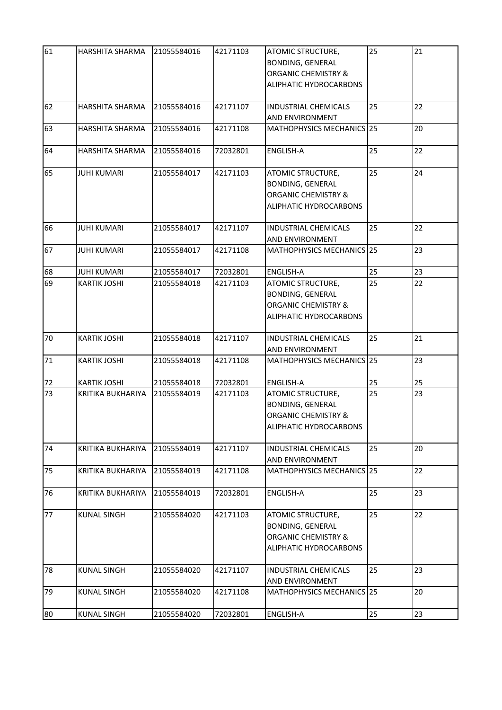| 61 | HARSHITA SHARMA          | 21055584016 | 42171103 | ATOMIC STRUCTURE,<br><b>BONDING, GENERAL</b><br><b>ORGANIC CHEMISTRY &amp;</b><br>ALIPHATIC HYDROCARBONS | 25 | 21 |
|----|--------------------------|-------------|----------|----------------------------------------------------------------------------------------------------------|----|----|
| 62 | <b>HARSHITA SHARMA</b>   | 21055584016 | 42171107 | <b>INDUSTRIAL CHEMICALS</b><br>AND ENVIRONMENT                                                           | 25 | 22 |
| 63 | HARSHITA SHARMA          | 21055584016 | 42171108 | MATHOPHYSICS MECHANICS 25                                                                                |    | 20 |
| 64 | HARSHITA SHARMA          | 21055584016 | 72032801 | ENGLISH-A                                                                                                | 25 | 22 |
| 65 | <b>JUHI KUMARI</b>       | 21055584017 | 42171103 | ATOMIC STRUCTURE,<br><b>BONDING, GENERAL</b><br><b>ORGANIC CHEMISTRY &amp;</b><br>ALIPHATIC HYDROCARBONS | 25 | 24 |
| 66 | <b>JUHI KUMARI</b>       | 21055584017 | 42171107 | <b>INDUSTRIAL CHEMICALS</b><br>AND ENVIRONMENT                                                           | 25 | 22 |
| 67 | <b>JUHI KUMARI</b>       | 21055584017 | 42171108 | MATHOPHYSICS MECHANICS 25                                                                                |    | 23 |
| 68 | <b>JUHI KUMARI</b>       | 21055584017 | 72032801 | <b>ENGLISH-A</b>                                                                                         | 25 | 23 |
| 69 | <b>KARTIK JOSHI</b>      | 21055584018 | 42171103 | ATOMIC STRUCTURE,<br><b>BONDING, GENERAL</b><br><b>ORGANIC CHEMISTRY &amp;</b><br>ALIPHATIC HYDROCARBONS | 25 | 22 |
| 70 | <b>KARTIK JOSHI</b>      | 21055584018 | 42171107 | <b>INDUSTRIAL CHEMICALS</b><br>AND ENVIRONMENT                                                           | 25 | 21 |
| 71 | <b>KARTIK JOSHI</b>      | 21055584018 | 42171108 | MATHOPHYSICS MECHANICS 25                                                                                |    | 23 |
| 72 | <b>KARTIK JOSHI</b>      | 21055584018 | 72032801 | <b>ENGLISH-A</b>                                                                                         | 25 | 25 |
| 73 | <b>KRITIKA BUKHARIYA</b> | 21055584019 | 42171103 | ATOMIC STRUCTURE,<br><b>BONDING, GENERAL</b><br><b>ORGANIC CHEMISTRY &amp;</b><br>ALIPHATIC HYDROCARBONS | 25 | 23 |
| 74 | KRITIKA BUKHARIYA        | 21055584019 | 42171107 | <b>INDUSTRIAL CHEMICALS</b><br>AND ENVIRONMENT                                                           | 25 | 20 |
| 75 | KRITIKA BUKHARIYA        | 21055584019 | 42171108 | MATHOPHYSICS MECHANICS 25                                                                                |    | 22 |
| 76 | KRITIKA BUKHARIYA        | 21055584019 | 72032801 | <b>ENGLISH-A</b>                                                                                         | 25 | 23 |
| 77 | <b>KUNAL SINGH</b>       | 21055584020 | 42171103 | ATOMIC STRUCTURE,<br><b>BONDING, GENERAL</b><br><b>ORGANIC CHEMISTRY &amp;</b><br>ALIPHATIC HYDROCARBONS | 25 | 22 |
| 78 | <b>KUNAL SINGH</b>       | 21055584020 | 42171107 | <b>INDUSTRIAL CHEMICALS</b><br>AND ENVIRONMENT                                                           | 25 | 23 |
| 79 | <b>KUNAL SINGH</b>       | 21055584020 | 42171108 | <b>MATHOPHYSICS MECHANICS 25</b>                                                                         |    | 20 |
| 80 | <b>KUNAL SINGH</b>       | 21055584020 | 72032801 | ENGLISH-A                                                                                                | 25 | 23 |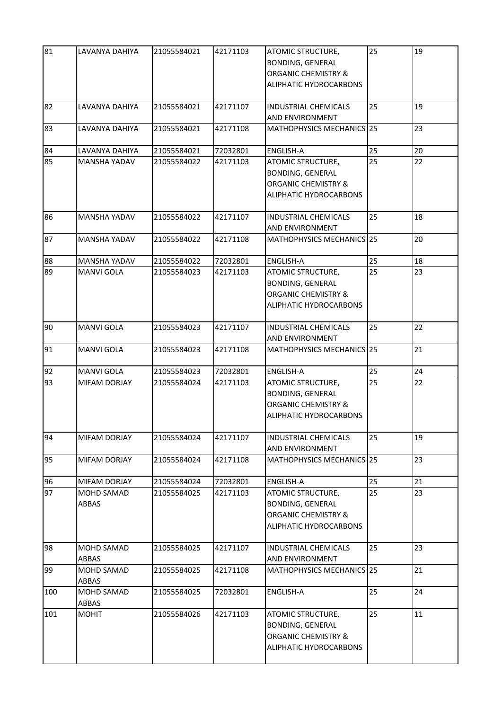| 81  | LAVANYA DAHIYA                    | 21055584021 | 42171103 | ATOMIC STRUCTURE,<br><b>BONDING, GENERAL</b><br><b>ORGANIC CHEMISTRY &amp;</b><br>ALIPHATIC HYDROCARBONS | 25 | 19 |
|-----|-----------------------------------|-------------|----------|----------------------------------------------------------------------------------------------------------|----|----|
| 82  | LAVANYA DAHIYA                    | 21055584021 | 42171107 | <b>INDUSTRIAL CHEMICALS</b><br>AND ENVIRONMENT                                                           | 25 | 19 |
| 83  | LAVANYA DAHIYA                    | 21055584021 | 42171108 | MATHOPHYSICS MECHANICS 25                                                                                |    | 23 |
| 84  | LAVANYA DAHIYA                    | 21055584021 | 72032801 | ENGLISH-A                                                                                                | 25 | 20 |
| 85  | <b>MANSHA YADAV</b>               | 21055584022 | 42171103 | ATOMIC STRUCTURE,<br><b>BONDING, GENERAL</b><br><b>ORGANIC CHEMISTRY &amp;</b><br>ALIPHATIC HYDROCARBONS | 25 | 22 |
| 86  | <b>MANSHA YADAV</b>               | 21055584022 | 42171107 | <b>INDUSTRIAL CHEMICALS</b><br>AND ENVIRONMENT                                                           | 25 | 18 |
| 87  | <b>MANSHA YADAV</b>               | 21055584022 | 42171108 | MATHOPHYSICS MECHANICS 25                                                                                |    | 20 |
| 88  | <b>MANSHA YADAV</b>               | 21055584022 | 72032801 | <b>ENGLISH-A</b>                                                                                         | 25 | 18 |
| 89  | <b>MANVI GOLA</b>                 | 21055584023 | 42171103 | ATOMIC STRUCTURE,<br><b>BONDING, GENERAL</b><br><b>ORGANIC CHEMISTRY &amp;</b><br>ALIPHATIC HYDROCARBONS | 25 | 23 |
| 90  | <b>MANVI GOLA</b>                 | 21055584023 | 42171107 | <b>INDUSTRIAL CHEMICALS</b><br>AND ENVIRONMENT                                                           | 25 | 22 |
| 91  | <b>MANVI GOLA</b>                 | 21055584023 | 42171108 | MATHOPHYSICS MECHANICS 25                                                                                |    | 21 |
| 92  | <b>MANVI GOLA</b>                 | 21055584023 | 72032801 | ENGLISH-A                                                                                                | 25 | 24 |
| 93  | <b>MIFAM DORJAY</b>               | 21055584024 | 42171103 | ATOMIC STRUCTURE,<br><b>BONDING, GENERAL</b><br><b>ORGANIC CHEMISTRY &amp;</b><br>ALIPHATIC HYDROCARBONS | 25 | 22 |
| 94  | <b>MIFAM DORJAY</b>               | 21055584024 | 42171107 | <b>INDUSTRIAL CHEMICALS</b><br>AND ENVIRONMENT                                                           | 25 | 19 |
| 95  | <b>MIFAM DORJAY</b>               | 21055584024 | 42171108 | MATHOPHYSICS MECHANICS 25                                                                                |    | 23 |
| 96  | MIFAM DORJAY                      | 21055584024 | 72032801 | ENGLISH-A                                                                                                | 25 | 21 |
| 97  | <b>MOHD SAMAD</b><br>ABBAS        | 21055584025 | 42171103 | ATOMIC STRUCTURE,<br><b>BONDING, GENERAL</b><br><b>ORGANIC CHEMISTRY &amp;</b><br>ALIPHATIC HYDROCARBONS | 25 | 23 |
| 98  | <b>MOHD SAMAD</b><br><b>ABBAS</b> | 21055584025 | 42171107 | <b>INDUSTRIAL CHEMICALS</b><br><b>AND ENVIRONMENT</b>                                                    | 25 | 23 |
| 99  | <b>MOHD SAMAD</b><br><b>ABBAS</b> | 21055584025 | 42171108 | MATHOPHYSICS MECHANICS 25                                                                                |    | 21 |
| 100 | <b>MOHD SAMAD</b><br>ABBAS        | 21055584025 | 72032801 | <b>ENGLISH-A</b>                                                                                         | 25 | 24 |
| 101 | <b>MOHIT</b>                      | 21055584026 | 42171103 | ATOMIC STRUCTURE,<br><b>BONDING, GENERAL</b><br><b>ORGANIC CHEMISTRY &amp;</b><br>ALIPHATIC HYDROCARBONS | 25 | 11 |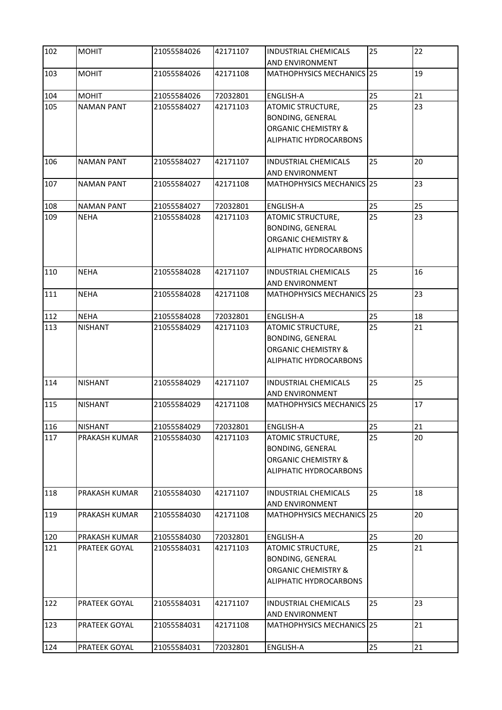| 102 | <b>MOHIT</b>      | 21055584026 | 42171107 | <b>INDUSTRIAL CHEMICALS</b><br>AND ENVIRONMENT                                                           | 25 | 22 |
|-----|-------------------|-------------|----------|----------------------------------------------------------------------------------------------------------|----|----|
| 103 | <b>MOHIT</b>      | 21055584026 | 42171108 | MATHOPHYSICS MECHANICS 25                                                                                |    | 19 |
| 104 | <b>MOHIT</b>      | 21055584026 | 72032801 | <b>ENGLISH-A</b>                                                                                         | 25 | 21 |
| 105 | <b>NAMAN PANT</b> | 21055584027 | 42171103 | ATOMIC STRUCTURE,<br><b>BONDING, GENERAL</b><br><b>ORGANIC CHEMISTRY &amp;</b><br>ALIPHATIC HYDROCARBONS | 25 | 23 |
| 106 | <b>NAMAN PANT</b> | 21055584027 | 42171107 | <b>INDUSTRIAL CHEMICALS</b><br>AND ENVIRONMENT                                                           | 25 | 20 |
| 107 | <b>NAMAN PANT</b> | 21055584027 | 42171108 | MATHOPHYSICS MECHANICS 25                                                                                |    | 23 |
| 108 | <b>NAMAN PANT</b> | 21055584027 | 72032801 | <b>ENGLISH-A</b>                                                                                         | 25 | 25 |
| 109 | <b>NEHA</b>       | 21055584028 | 42171103 | ATOMIC STRUCTURE,<br><b>BONDING, GENERAL</b><br><b>ORGANIC CHEMISTRY &amp;</b><br>ALIPHATIC HYDROCARBONS | 25 | 23 |
| 110 | <b>NEHA</b>       | 21055584028 | 42171107 | <b>INDUSTRIAL CHEMICALS</b><br>AND ENVIRONMENT                                                           | 25 | 16 |
| 111 | <b>NEHA</b>       | 21055584028 | 42171108 | MATHOPHYSICS MECHANICS 25                                                                                |    | 23 |
| 112 | <b>NEHA</b>       | 21055584028 | 72032801 | ENGLISH-A                                                                                                | 25 | 18 |
| 113 | <b>NISHANT</b>    | 21055584029 | 42171103 | ATOMIC STRUCTURE,<br><b>BONDING, GENERAL</b><br><b>ORGANIC CHEMISTRY &amp;</b><br>ALIPHATIC HYDROCARBONS | 25 | 21 |
| 114 | <b>NISHANT</b>    | 21055584029 | 42171107 | <b>INDUSTRIAL CHEMICALS</b><br>AND ENVIRONMENT                                                           | 25 | 25 |
| 115 | <b>NISHANT</b>    | 21055584029 | 42171108 | MATHOPHYSICS MECHANICS 25                                                                                |    | 17 |
| 116 | <b>NISHANT</b>    | 21055584029 | 72032801 | <b>ENGLISH-A</b>                                                                                         | 25 | 21 |
| 117 | PRAKASH KUMAR     | 21055584030 | 42171103 | ATOMIC STRUCTURE,<br><b>BONDING, GENERAL</b><br><b>ORGANIC CHEMISTRY &amp;</b><br>ALIPHATIC HYDROCARBONS | 25 | 20 |
| 118 | PRAKASH KUMAR     | 21055584030 | 42171107 | <b>INDUSTRIAL CHEMICALS</b><br>AND ENVIRONMENT                                                           | 25 | 18 |
| 119 | PRAKASH KUMAR     | 21055584030 | 42171108 | MATHOPHYSICS MECHANICS 25                                                                                |    | 20 |
| 120 | PRAKASH KUMAR     | 21055584030 | 72032801 | ENGLISH-A                                                                                                | 25 | 20 |
| 121 | PRATEEK GOYAL     | 21055584031 | 42171103 | ATOMIC STRUCTURE,<br><b>BONDING, GENERAL</b><br><b>ORGANIC CHEMISTRY &amp;</b><br>ALIPHATIC HYDROCARBONS | 25 | 21 |
| 122 | PRATEEK GOYAL     | 21055584031 | 42171107 | <b>INDUSTRIAL CHEMICALS</b><br>AND ENVIRONMENT                                                           | 25 | 23 |
| 123 | PRATEEK GOYAL     | 21055584031 | 42171108 | MATHOPHYSICS MECHANICS 25                                                                                |    | 21 |
| 124 | PRATEEK GOYAL     | 21055584031 | 72032801 | ENGLISH-A                                                                                                | 25 | 21 |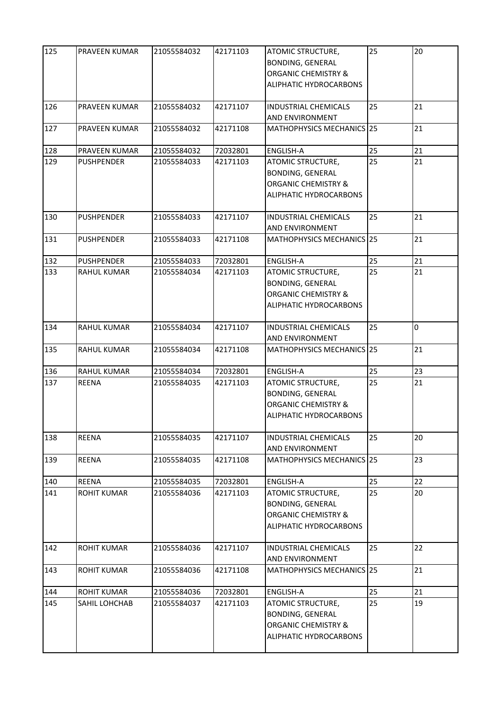| 125 | <b>PRAVEEN KUMAR</b> | 21055584032 | 42171103 | ATOMIC STRUCTURE,<br><b>BONDING, GENERAL</b><br><b>ORGANIC CHEMISTRY &amp;</b><br>ALIPHATIC HYDROCARBONS | 25 | 20 |
|-----|----------------------|-------------|----------|----------------------------------------------------------------------------------------------------------|----|----|
| 126 | <b>PRAVEEN KUMAR</b> | 21055584032 | 42171107 | <b>INDUSTRIAL CHEMICALS</b><br>AND ENVIRONMENT                                                           | 25 | 21 |
| 127 | <b>PRAVEEN KUMAR</b> | 21055584032 | 42171108 | MATHOPHYSICS MECHANICS 25                                                                                |    | 21 |
| 128 | PRAVEEN KUMAR        | 21055584032 | 72032801 | ENGLISH-A                                                                                                | 25 | 21 |
| 129 | <b>PUSHPENDER</b>    | 21055584033 | 42171103 | ATOMIC STRUCTURE,<br><b>BONDING, GENERAL</b><br><b>ORGANIC CHEMISTRY &amp;</b><br>ALIPHATIC HYDROCARBONS | 25 | 21 |
| 130 | <b>PUSHPENDER</b>    | 21055584033 | 42171107 | <b>INDUSTRIAL CHEMICALS</b><br>AND ENVIRONMENT                                                           | 25 | 21 |
| 131 | <b>PUSHPENDER</b>    | 21055584033 | 42171108 | MATHOPHYSICS MECHANICS 25                                                                                |    | 21 |
| 132 | <b>PUSHPENDER</b>    | 21055584033 | 72032801 | <b>ENGLISH-A</b>                                                                                         | 25 | 21 |
| 133 | <b>RAHUL KUMAR</b>   | 21055584034 | 42171103 | ATOMIC STRUCTURE,<br><b>BONDING, GENERAL</b><br><b>ORGANIC CHEMISTRY &amp;</b><br>ALIPHATIC HYDROCARBONS | 25 | 21 |
| 134 | <b>RAHUL KUMAR</b>   | 21055584034 | 42171107 | <b>INDUSTRIAL CHEMICALS</b><br>AND ENVIRONMENT                                                           | 25 | 0  |
| 135 | <b>RAHUL KUMAR</b>   | 21055584034 | 42171108 | MATHOPHYSICS MECHANICS 25                                                                                |    | 21 |
| 136 | <b>RAHUL KUMAR</b>   | 21055584034 | 72032801 | ENGLISH-A                                                                                                | 25 | 23 |
| 137 | <b>REENA</b>         | 21055584035 | 42171103 | ATOMIC STRUCTURE,<br><b>BONDING, GENERAL</b><br><b>ORGANIC CHEMISTRY &amp;</b><br>ALIPHATIC HYDROCARBONS | 25 | 21 |
| 138 | <b>REENA</b>         | 21055584035 | 42171107 | <b>INDUSTRIAL CHEMICALS</b><br>AND ENVIRONMENT                                                           | 25 | 20 |
| 139 | <b>REENA</b>         | 21055584035 | 42171108 | MATHOPHYSICS MECHANICS 25                                                                                |    | 23 |
| 140 | <b>REENA</b>         | 21055584035 | 72032801 | ENGLISH-A                                                                                                | 25 | 22 |
| 141 | <b>ROHIT KUMAR</b>   | 21055584036 | 42171103 | ATOMIC STRUCTURE,<br><b>BONDING, GENERAL</b><br><b>ORGANIC CHEMISTRY &amp;</b><br>ALIPHATIC HYDROCARBONS | 25 | 20 |
| 142 | <b>ROHIT KUMAR</b>   | 21055584036 | 42171107 | <b>INDUSTRIAL CHEMICALS</b><br><b>AND ENVIRONMENT</b>                                                    | 25 | 22 |
| 143 | <b>ROHIT KUMAR</b>   | 21055584036 | 42171108 | MATHOPHYSICS MECHANICS 25                                                                                |    | 21 |
| 144 | <b>ROHIT KUMAR</b>   | 21055584036 | 72032801 | <b>ENGLISH-A</b>                                                                                         | 25 | 21 |
| 145 | <b>SAHIL LOHCHAB</b> | 21055584037 | 42171103 | ATOMIC STRUCTURE,<br><b>BONDING, GENERAL</b><br><b>ORGANIC CHEMISTRY &amp;</b><br>ALIPHATIC HYDROCARBONS | 25 | 19 |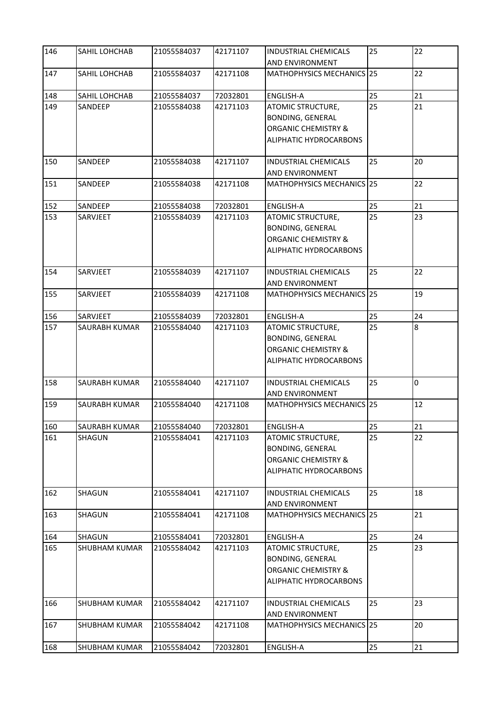| 146 | SAHIL LOHCHAB        | 21055584037 | 42171107 | <b>INDUSTRIAL CHEMICALS</b><br>AND ENVIRONMENT                                                           | 25 | 22 |
|-----|----------------------|-------------|----------|----------------------------------------------------------------------------------------------------------|----|----|
| 147 | SAHIL LOHCHAB        | 21055584037 | 42171108 | MATHOPHYSICS MECHANICS 25                                                                                |    | 22 |
| 148 | SAHIL LOHCHAB        | 21055584037 | 72032801 | <b>ENGLISH-A</b>                                                                                         | 25 | 21 |
| 149 | SANDEEP              | 21055584038 | 42171103 | ATOMIC STRUCTURE,<br><b>BONDING, GENERAL</b><br><b>ORGANIC CHEMISTRY &amp;</b><br>ALIPHATIC HYDROCARBONS | 25 | 21 |
| 150 | SANDEEP              | 21055584038 | 42171107 | <b>INDUSTRIAL CHEMICALS</b><br>AND ENVIRONMENT                                                           | 25 | 20 |
| 151 | SANDEEP              | 21055584038 | 42171108 | MATHOPHYSICS MECHANICS 25                                                                                |    | 22 |
| 152 | SANDEEP              | 21055584038 | 72032801 | <b>ENGLISH-A</b>                                                                                         | 25 | 21 |
| 153 | SARVJEET             | 21055584039 | 42171103 | ATOMIC STRUCTURE,<br><b>BONDING, GENERAL</b><br><b>ORGANIC CHEMISTRY &amp;</b><br>ALIPHATIC HYDROCARBONS | 25 | 23 |
| 154 | SARVJEET             | 21055584039 | 42171107 | <b>INDUSTRIAL CHEMICALS</b><br>AND ENVIRONMENT                                                           | 25 | 22 |
| 155 | SARVJEET             | 21055584039 | 42171108 | MATHOPHYSICS MECHANICS 25                                                                                |    | 19 |
| 156 | SARVJEET             | 21055584039 | 72032801 | ENGLISH-A                                                                                                | 25 | 24 |
| 157 | SAURABH KUMAR        | 21055584040 | 42171103 | ATOMIC STRUCTURE,<br><b>BONDING, GENERAL</b><br><b>ORGANIC CHEMISTRY &amp;</b><br>ALIPHATIC HYDROCARBONS | 25 | 8  |
| 158 | <b>SAURABH KUMAR</b> | 21055584040 | 42171107 | <b>INDUSTRIAL CHEMICALS</b><br>AND ENVIRONMENT                                                           | 25 | 0  |
| 159 | SAURABH KUMAR        | 21055584040 | 42171108 | MATHOPHYSICS MECHANICS 25                                                                                |    | 12 |
| 160 | SAURABH KUMAR        | 21055584040 | 72032801 | <b>ENGLISH-A</b>                                                                                         | 25 | 21 |
| 161 | <b>SHAGUN</b>        | 21055584041 | 42171103 | ATOMIC STRUCTURE,<br><b>BONDING, GENERAL</b><br><b>ORGANIC CHEMISTRY &amp;</b><br>ALIPHATIC HYDROCARBONS | 25 | 22 |
| 162 | SHAGUN               | 21055584041 | 42171107 | <b>INDUSTRIAL CHEMICALS</b><br>AND ENVIRONMENT                                                           | 25 | 18 |
| 163 | SHAGUN               | 21055584041 | 42171108 | MATHOPHYSICS MECHANICS 25                                                                                |    | 21 |
| 164 | <b>SHAGUN</b>        | 21055584041 | 72032801 | ENGLISH-A                                                                                                | 25 | 24 |
| 165 | <b>SHUBHAM KUMAR</b> | 21055584042 | 42171103 | ATOMIC STRUCTURE,<br><b>BONDING, GENERAL</b><br><b>ORGANIC CHEMISTRY &amp;</b><br>ALIPHATIC HYDROCARBONS | 25 | 23 |
| 166 | SHUBHAM KUMAR        | 21055584042 | 42171107 | <b>INDUSTRIAL CHEMICALS</b><br>AND ENVIRONMENT                                                           | 25 | 23 |
| 167 | <b>SHUBHAM KUMAR</b> | 21055584042 | 42171108 | MATHOPHYSICS MECHANICS 25                                                                                |    | 20 |
| 168 | SHUBHAM KUMAR        | 21055584042 | 72032801 | ENGLISH-A                                                                                                | 25 | 21 |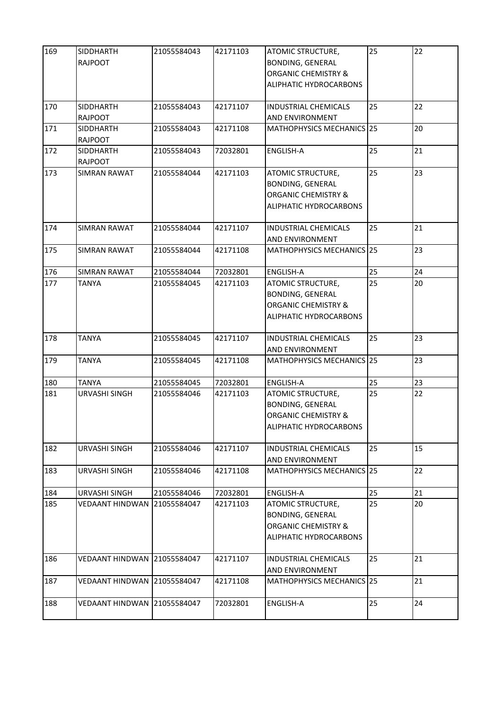| 169 | SIDDHARTH<br><b>RAJPOOT</b>        | 21055584043 | 42171103 | ATOMIC STRUCTURE,<br><b>BONDING, GENERAL</b><br><b>ORGANIC CHEMISTRY &amp;</b><br>ALIPHATIC HYDROCARBONS | 25 | 22 |
|-----|------------------------------------|-------------|----------|----------------------------------------------------------------------------------------------------------|----|----|
| 170 | <b>SIDDHARTH</b><br><b>RAJPOOT</b> | 21055584043 | 42171107 | <b>INDUSTRIAL CHEMICALS</b><br>AND ENVIRONMENT                                                           | 25 | 22 |
| 171 | <b>SIDDHARTH</b><br><b>RAJPOOT</b> | 21055584043 | 42171108 | MATHOPHYSICS MECHANICS 25                                                                                |    | 20 |
| 172 | <b>SIDDHARTH</b><br><b>RAJPOOT</b> | 21055584043 | 72032801 | <b>ENGLISH-A</b>                                                                                         | 25 | 21 |
| 173 | <b>SIMRAN RAWAT</b>                | 21055584044 | 42171103 | ATOMIC STRUCTURE,<br><b>BONDING, GENERAL</b><br><b>ORGANIC CHEMISTRY &amp;</b><br>ALIPHATIC HYDROCARBONS | 25 | 23 |
| 174 | SIMRAN RAWAT                       | 21055584044 | 42171107 | <b>INDUSTRIAL CHEMICALS</b><br>AND ENVIRONMENT                                                           | 25 | 21 |
| 175 | <b>SIMRAN RAWAT</b>                | 21055584044 | 42171108 | MATHOPHYSICS MECHANICS 25                                                                                |    | 23 |
| 176 | <b>SIMRAN RAWAT</b>                | 21055584044 | 72032801 | <b>ENGLISH-A</b>                                                                                         | 25 | 24 |
| 177 | <b>TANYA</b>                       | 21055584045 | 42171103 | ATOMIC STRUCTURE,<br><b>BONDING, GENERAL</b><br><b>ORGANIC CHEMISTRY &amp;</b><br>ALIPHATIC HYDROCARBONS | 25 | 20 |
| 178 | <b>TANYA</b>                       | 21055584045 | 42171107 | <b>INDUSTRIAL CHEMICALS</b><br>AND ENVIRONMENT                                                           | 25 | 23 |
| 179 | <b>TANYA</b>                       | 21055584045 | 42171108 | MATHOPHYSICS MECHANICS 25                                                                                |    | 23 |
| 180 | <b>TANYA</b>                       | 21055584045 | 72032801 | <b>ENGLISH-A</b>                                                                                         | 25 | 23 |
| 181 | URVASHI SINGH                      | 21055584046 | 42171103 | ATOMIC STRUCTURE,<br><b>BONDING, GENERAL</b><br><b>ORGANIC CHEMISTRY &amp;</b><br>ALIPHATIC HYDROCARBONS | 25 | 22 |
| 182 | URVASHI SINGH                      | 21055584046 | 42171107 | <b>INDUSTRIAL CHEMICALS</b><br><b>AND ENVIRONMENT</b>                                                    | 25 | 15 |
| 183 | URVASHI SINGH                      | 21055584046 | 42171108 | MATHOPHYSICS MECHANICS 25                                                                                |    | 22 |
| 184 | URVASHI SINGH                      | 21055584046 | 72032801 | ENGLISH-A                                                                                                | 25 | 21 |
| 185 | <b>VEDAANT HINDWAN</b>             | 21055584047 | 42171103 | ATOMIC STRUCTURE,<br><b>BONDING, GENERAL</b><br><b>ORGANIC CHEMISTRY &amp;</b><br>ALIPHATIC HYDROCARBONS | 25 | 20 |
| 186 | <b>VEDAANT HINDWAN</b>             | 21055584047 | 42171107 | <b>INDUSTRIAL CHEMICALS</b><br>AND ENVIRONMENT                                                           | 25 | 21 |
| 187 | VEDAANT HINDWAN 121055584047       |             | 42171108 | MATHOPHYSICS MECHANICS 25                                                                                |    | 21 |
| 188 | VEDAANT HINDWAN 21055584047        |             | 72032801 | <b>ENGLISH-A</b>                                                                                         | 25 | 24 |